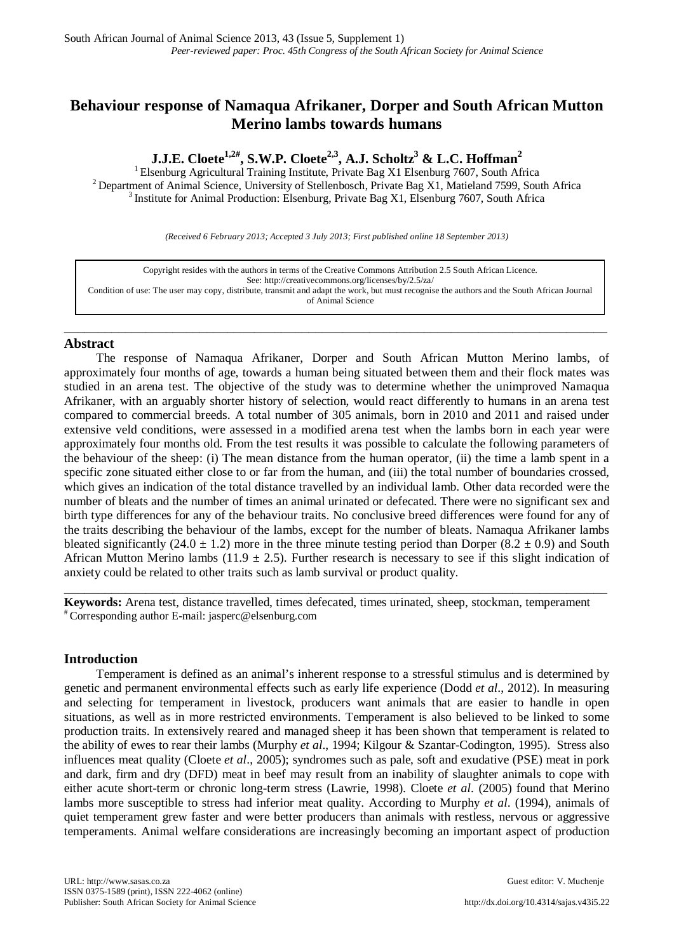# **Behaviour response of Namaqua Afrikaner, Dorper and South African Mutton Merino lambs towards humans**

**J.J.E. Cloete1,2# , S.W.P. Cloete2,3, A.J. Scholtz3 & L.C. Hoffman<sup>2</sup>**

<sup>2</sup> Department of Animal Science, University of Stellenbosch, Private Bag X1, Matieland 7599, South Africa<br> $3$  Institute for Animal Production: Elsenburg, Private Bag X1, Elsenburg 7607, South Africa

*(Received 6 February 2013; Accepted 3 July 2013; First published online 18 September 2013)*

| Copyright resides with the authors in terms of the Creative Commons Attribution 2.5 South African Licence.                                 |
|--------------------------------------------------------------------------------------------------------------------------------------------|
| See: http://creativecommons.org/licenses/by/2.5/za/                                                                                        |
| Condition of use: The user may copy, distribute, transmit and adapt the work, but must recognise the authors and the South African Journal |
| of Animal Science                                                                                                                          |

\_\_\_\_\_\_\_\_\_\_\_\_\_\_\_\_\_\_\_\_\_\_\_\_\_\_\_\_\_\_\_\_\_\_\_\_\_\_\_\_\_\_\_\_\_\_\_\_\_\_\_\_\_\_\_\_\_\_\_\_\_\_\_\_\_\_\_\_\_\_\_\_\_\_\_\_\_\_\_\_

## **Abstract**

The response of Namaqua Afrikaner, Dorper and South African Mutton Merino lambs, of approximately four months of age, towards a human being situated between them and their flock mates was studied in an arena test. The objective of the study was to determine whether the unimproved Namaqua Afrikaner, with an arguably shorter history of selection, would react differently to humans in an arena test compared to commercial breeds. A total number of 305 animals, born in 2010 and 2011 and raised under extensive veld conditions, were assessed in a modified arena test when the lambs born in each year were approximately four months old. From the test results it was possible to calculate the following parameters of the behaviour of the sheep: (i) The mean distance from the human operator, (ii) the time a lamb spent in a specific zone situated either close to or far from the human, and (iii) the total number of boundaries crossed, which gives an indication of the total distance travelled by an individual lamb. Other data recorded were the number of bleats and the number of times an animal urinated or defecated. There were no significant sex and birth type differences for any of the behaviour traits. No conclusive breed differences were found for any of the traits describing the behaviour of the lambs, except for the number of bleats. Namaqua Afrikaner lambs bleated significantly (24.0  $\pm$  1.2) more in the three minute testing period than Dorper (8.2  $\pm$  0.9) and South African Mutton Merino lambs (11.9  $\pm$  2.5). Further research is necessary to see if this slight indication of anxiety could be related to other traits such as lamb survival or product quality.

**Keywords:** Arena test, distance travelled, times defecated, times urinated, sheep, stockman, temperament # Corresponding author E-mail: jasperc@elsenburg.com

\_\_\_\_\_\_\_\_\_\_\_\_\_\_\_\_\_\_\_\_\_\_\_\_\_\_\_\_\_\_\_\_\_\_\_\_\_\_\_\_\_\_\_\_\_\_\_\_\_\_\_\_\_\_\_\_\_\_\_\_\_\_\_\_\_\_\_\_\_\_\_\_\_\_\_\_\_\_\_\_

## **Introduction**

Temperament is defined as an animal's inherent response to a stressful stimulus and is determined by genetic and permanent environmental effects such as early life experience (Dodd *et al*., 2012). In measuring and selecting for temperament in livestock, producers want animals that are easier to handle in open situations, as well as in more restricted environments. Temperament is also believed to be linked to some production traits. In extensively reared and managed sheep it has been shown that temperament is related to the ability of ewes to rear their lambs (Murphy *et al*., 1994; Kilgour & Szantar-Codington, 1995). Stress also influences meat quality (Cloete *et al*., 2005); syndromes such as pale, soft and exudative (PSE) meat in pork and dark, firm and dry (DFD) meat in beef may result from an inability of slaughter animals to cope with either acute short-term or chronic long-term stress (Lawrie, 1998). Cloete *et al*. (2005) found that Merino lambs more susceptible to stress had inferior meat quality. According to Murphy *et al*. (1994), animals of quiet temperament grew faster and were better producers than animals with restless, nervous or aggressive temperaments. Animal welfare considerations are increasingly becoming an important aspect of production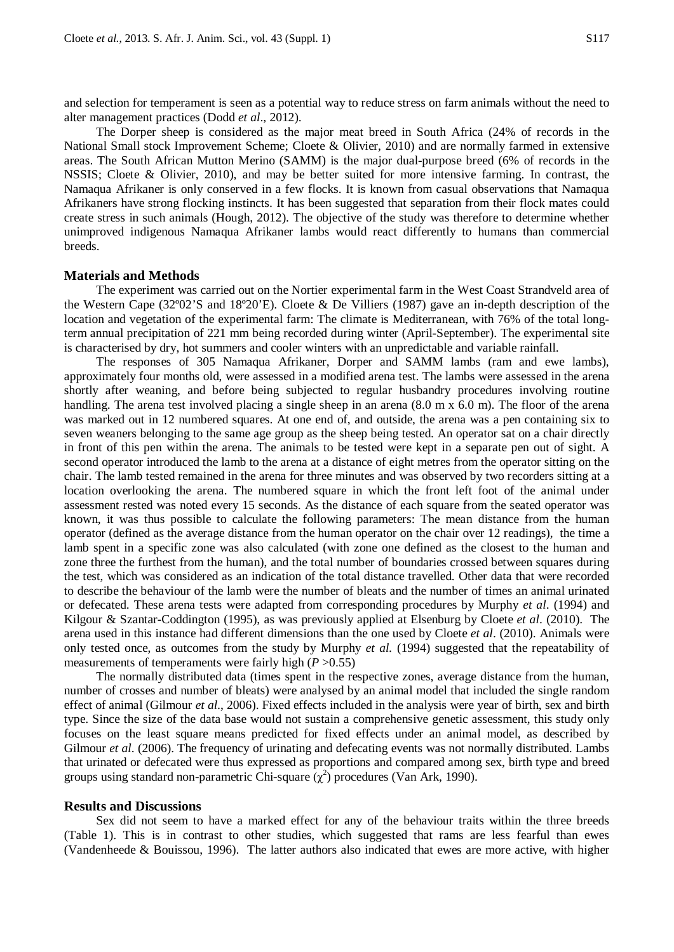and selection for temperament is seen as a potential way to reduce stress on farm animals without the need to alter management practices (Dodd *et al*., 2012).

The Dorper sheep is considered as the major meat breed in South Africa (24% of records in the National Small stock Improvement Scheme; Cloete & Olivier, 2010) and are normally farmed in extensive areas. The South African Mutton Merino (SAMM) is the major dual-purpose breed (6% of records in the NSSIS; Cloete & Olivier, 2010), and may be better suited for more intensive farming. In contrast, the Namaqua Afrikaner is only conserved in a few flocks. It is known from casual observations that Namaqua Afrikaners have strong flocking instincts. It has been suggested that separation from their flock mates could create stress in such animals (Hough, 2012). The objective of the study was therefore to determine whether unimproved indigenous Namaqua Afrikaner lambs would react differently to humans than commercial breeds.

#### **Materials and Methods**

The experiment was carried out on the Nortier experimental farm in the West Coast Strandveld area of the Western Cape (32º02'S and 18º20'E). Cloete & De Villiers (1987) gave an in-depth description of the location and vegetation of the experimental farm: The climate is Mediterranean, with 76% of the total longterm annual precipitation of 221 mm being recorded during winter (April-September). The experimental site is characterised by dry, hot summers and cooler winters with an unpredictable and variable rainfall.

The responses of 305 Namaqua Afrikaner, Dorper and SAMM lambs (ram and ewe lambs), approximately four months old, were assessed in a modified arena test. The lambs were assessed in the arena shortly after weaning, and before being subjected to regular husbandry procedures involving routine handling. The arena test involved placing a single sheep in an arena (8.0 m x 6.0 m). The floor of the arena was marked out in 12 numbered squares. At one end of, and outside, the arena was a pen containing six to seven weaners belonging to the same age group as the sheep being tested. An operator sat on a chair directly in front of this pen within the arena. The animals to be tested were kept in a separate pen out of sight. A second operator introduced the lamb to the arena at a distance of eight metres from the operator sitting on the chair. The lamb tested remained in the arena for three minutes and was observed by two recorders sitting at a location overlooking the arena. The numbered square in which the front left foot of the animal under assessment rested was noted every 15 seconds. As the distance of each square from the seated operator was known, it was thus possible to calculate the following parameters: The mean distance from the human operator (defined as the average distance from the human operator on the chair over 12 readings), the time a lamb spent in a specific zone was also calculated (with zone one defined as the closest to the human and zone three the furthest from the human), and the total number of boundaries crossed between squares during the test, which was considered as an indication of the total distance travelled. Other data that were recorded to describe the behaviour of the lamb were the number of bleats and the number of times an animal urinated or defecated. These arena tests were adapted from corresponding procedures by Murphy *et al*. (1994) and Kilgour & Szantar-Coddington (1995), as was previously applied at Elsenburg by Cloete *et al*. (2010). The arena used in this instance had different dimensions than the one used by Cloete *et al*. (2010). Animals were only tested once, as outcomes from the study by Murphy *et al.* (1994) suggested that the repeatability of measurements of temperaments were fairly high  $(P > 0.55)$ 

The normally distributed data (times spent in the respective zones, average distance from the human, number of crosses and number of bleats) were analysed by an animal model that included the single random effect of animal (Gilmour *et al*., 2006). Fixed effects included in the analysis were year of birth, sex and birth type. Since the size of the data base would not sustain a comprehensive genetic assessment, this study only focuses on the least square means predicted for fixed effects under an animal model, as described by Gilmour *et al.* (2006). The frequency of urinating and defecating events was not normally distributed. Lambs that urinated or defecated were thus expressed as proportions and compared among sex, birth type and breed groups using standard non-parametric Chi-square  $(\chi^2)$  procedures (Van Ark, 1990).

#### **Results and Discussions**

Sex did not seem to have a marked effect for any of the behaviour traits within the three breeds (Table 1). This is in contrast to other studies, which suggested that rams are less fearful than ewes (Vandenheede & Bouissou, 1996). The latter authors also indicated that ewes are more active, with higher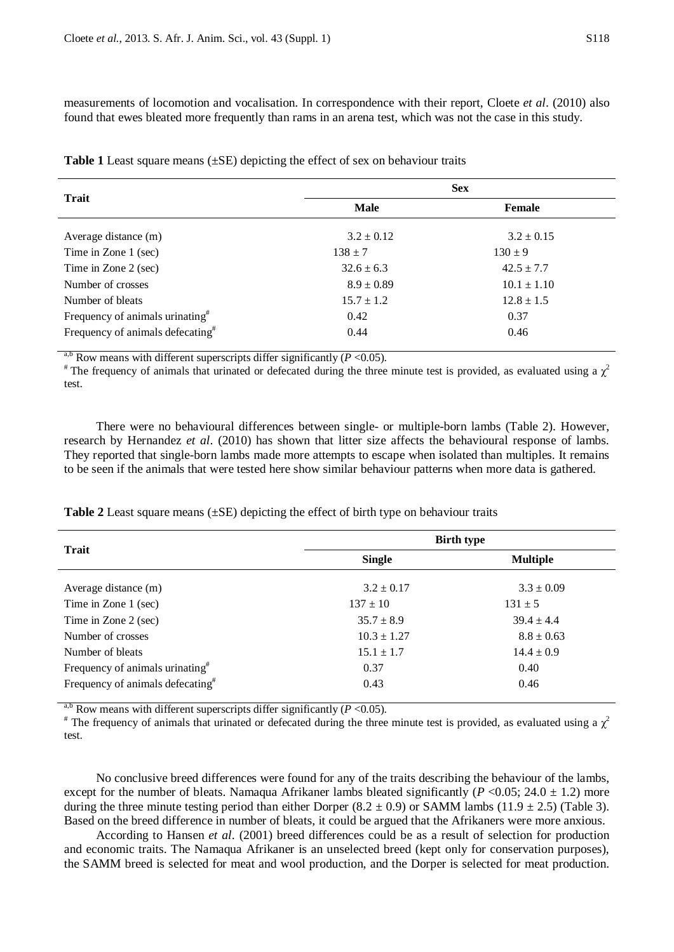measurements of locomotion and vocalisation. In correspondence with their report, Cloete *et al*. (2010) also found that ewes bleated more frequently than rams in an arena test, which was not the case in this study.

| <b>Trait</b>                                 |                | <b>Sex</b>      |
|----------------------------------------------|----------------|-----------------|
|                                              | <b>Male</b>    | <b>Female</b>   |
| Average distance (m)                         | $3.2 \pm 0.12$ | $3.2 \pm 0.15$  |
| Time in Zone 1 (sec)                         | $138 \pm 7$    | $130 \pm 9$     |
| Time in Zone 2 (sec)                         | $32.6 \pm 6.3$ | $42.5 \pm 7.7$  |
| Number of crosses                            | $8.9 \pm 0.89$ | $10.1 \pm 1.10$ |
| Number of bleats                             | $15.7 \pm 1.2$ | $12.8 \pm 1.5$  |
| Frequency of animals urinating <sup>#</sup>  | 0.42           | 0.37            |
| Frequency of animals defecating <sup>#</sup> | 0.44           | 0.46            |

**Table 1** Least square means (±SE) depicting the effect of sex on behaviour traits

<sup>a,b</sup> Row means with different superscripts differ significantly (*P* <0.05).<br>
<sup>#</sup> The frequency of animals that urinated or defecated during the three minute test is provided, as evaluated using a  $\chi^2$ test.

There were no behavioural differences between single- or multiple-born lambs (Table 2). However, research by Hernandez *et al*. (2010) has shown that litter size affects the behavioural response of lambs. They reported that single-born lambs made more attempts to escape when isolated than multiples. It remains to be seen if the animals that were tested here show similar behaviour patterns when more data is gathered.

|                                              | <b>Birth type</b> |                 |  |  |
|----------------------------------------------|-------------------|-----------------|--|--|
| <b>Trait</b>                                 | <b>Single</b>     | <b>Multiple</b> |  |  |
| Average distance (m)                         | $3.2 \pm 0.17$    | $3.3 \pm 0.09$  |  |  |
| Time in Zone 1 (sec)                         | $137 \pm 10$      | $131 \pm 5$     |  |  |
| Time in Zone 2 (sec)                         | $35.7 \pm 8.9$    | $39.4 \pm 4.4$  |  |  |
| Number of crosses                            | $10.3 \pm 1.27$   | $8.8 \pm 0.63$  |  |  |
| Number of bleats                             | $15.1 \pm 1.7$    | $14.4 \pm 0.9$  |  |  |
| Frequency of animals urinating <sup>#</sup>  | 0.37              | 0.40            |  |  |
| Frequency of animals defecating <sup>#</sup> | 0.43              | 0.46            |  |  |

**Table 2** Least square means  $(\pm SE)$  depicting the effect of birth type on behaviour traits

<sup>a,b</sup> Row means with different superscripts differ significantly (*P* <0.05).<br><sup>#</sup> The frequency of animals that urinated or defecated during the three minute test is provided, as evaluated using a  $\chi^2$ test.

No conclusive breed differences were found for any of the traits describing the behaviour of the lambs, except for the number of bleats. Namaqua Afrikaner lambs bleated significantly ( $P < 0.05$ ; 24.0  $\pm$  1.2) more during the three minute testing period than either Dorper  $(8.2 \pm 0.9)$  or SAMM lambs  $(11.9 \pm 2.5)$  (Table 3). Based on the breed difference in number of bleats, it could be argued that the Afrikaners were more anxious.

According to Hansen *et al*. (2001) breed differences could be as a result of selection for production and economic traits. The Namaqua Afrikaner is an unselected breed (kept only for conservation purposes), the SAMM breed is selected for meat and wool production, and the Dorper is selected for meat production.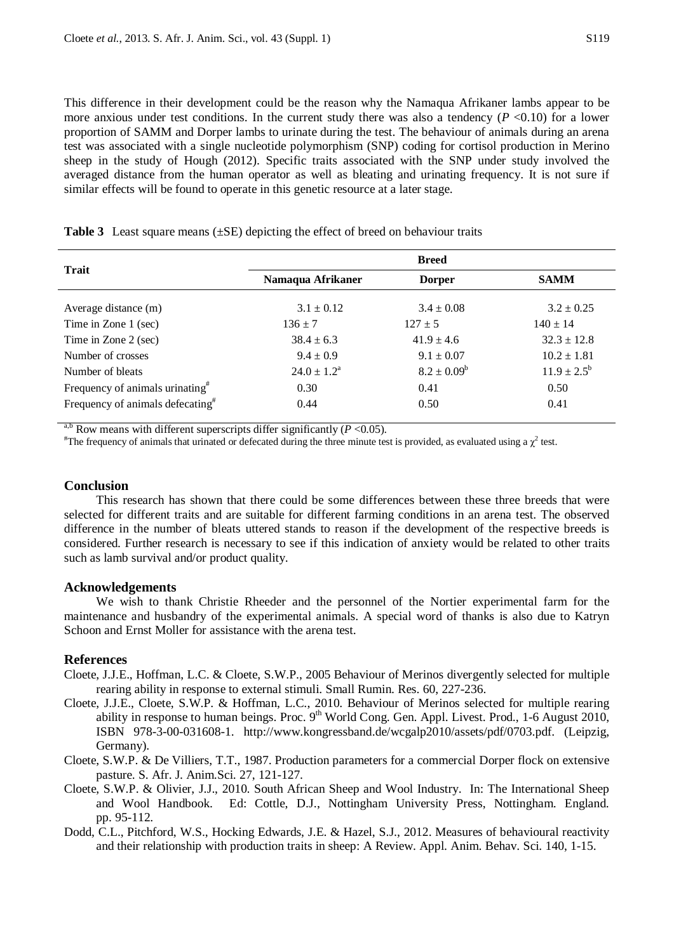This difference in their development could be the reason why the Namaqua Afrikaner lambs appear to be more anxious under test conditions. In the current study there was also a tendency  $(P \le 0.10)$  for a lower proportion of SAMM and Dorper lambs to urinate during the test. The behaviour of animals during an arena test was associated with a single nucleotide polymorphism (SNP) coding for cortisol production in Merino sheep in the study of Hough (2012). Specific traits associated with the SNP under study involved the averaged distance from the human operator as well as bleating and urinating frequency. It is not sure if similar effects will be found to operate in this genetic resource at a later stage.

|  | <b>Table 3</b> Least square means $(\pm SE)$ depicting the effect of breed on behaviour traits |  |  |  |  |  |  |  |
|--|------------------------------------------------------------------------------------------------|--|--|--|--|--|--|--|
|--|------------------------------------------------------------------------------------------------|--|--|--|--|--|--|--|

| <b>Trait</b>                                 | <b>Breed</b>              |                  |                        |  |  |
|----------------------------------------------|---------------------------|------------------|------------------------|--|--|
|                                              | Namaqua Afrikaner         | <b>Dorper</b>    | <b>SAMM</b>            |  |  |
| Average distance (m)                         | $3.1 \pm 0.12$            | $3.4 \pm 0.08$   | $3.2 \pm 0.25$         |  |  |
| Time in Zone 1 (sec)                         | $136 \pm 7$               | $127 \pm 5$      | $140 \pm 14$           |  |  |
| Time in Zone 2 (sec)                         | $38.4 \pm 6.3$            | $41.9 \pm 4.6$   | $32.3 \pm 12.8$        |  |  |
| Number of crosses                            | $9.4 \pm 0.9$             | $9.1 \pm 0.07$   | $10.2 \pm 1.81$        |  |  |
| Number of bleats                             | $24.0 \pm 1.2^{\text{a}}$ | $8.2 \pm 0.09^b$ | $11.9 \pm 2.5^{\rm b}$ |  |  |
| Frequency of animals urinating <sup>#</sup>  | 0.30                      | 0.41             | 0.50                   |  |  |
| Frequency of animals defecating <sup>#</sup> | 0.44                      | 0.50             | 0.41                   |  |  |

<sup>a,b</sup> Row means with different superscripts differ significantly ( $P < 0.05$ ).

The frequency of animals that urinated or defecated during the three minute test is provided, as evaluated using a  $\chi^2$  test.

#### **Conclusion**

This research has shown that there could be some differences between these three breeds that were selected for different traits and are suitable for different farming conditions in an arena test. The observed difference in the number of bleats uttered stands to reason if the development of the respective breeds is considered. Further research is necessary to see if this indication of anxiety would be related to other traits such as lamb survival and/or product quality.

## **Acknowledgements**

We wish to thank Christie Rheeder and the personnel of the Nortier experimental farm for the maintenance and husbandry of the experimental animals. A special word of thanks is also due to Katryn Schoon and Ernst Moller for assistance with the arena test.

## **References**

- Cloete, J.J.E., Hoffman, L.C. & Cloete, S.W.P., 2005 Behaviour of Merinos divergently selected for multiple rearing ability in response to external stimuli. Small Rumin. Res. 60, 227-236.
- Cloete, J.J.E., Cloete, S.W.P. & Hoffman, L.C., 2010. Behaviour of Merinos selected for multiple rearing ability in response to human beings. Proc. 9<sup>th</sup> World Cong. Gen. Appl. Livest. Prod., 1-6 August 2010, ISBN 978-3-00-031608-1. [http://www.kongressband.de/wcgalp2010/assets/pdf/0703.pdf.](http://www.kongressband.de/wcgalp2010/assets/pdf/0703.pdf) (Leipzig, Germany).
- Cloete, S.W.P. & De Villiers, T.T., 1987. Production parameters for a commercial Dorper flock on extensive pasture. S. Afr. J. Anim.Sci. 27, 121-127.
- Cloete, S.W.P. & Olivier, J.J., 2010. South African Sheep and Wool Industry. In: The International Sheep and Wool Handbook. Ed: Cottle, D.J., Nottingham University Press, Nottingham. England. pp. 95-112.
- Dodd, C.L., Pitchford, W.S., Hocking Edwards, J.E. & Hazel, S.J., 2012. Measures of behavioural reactivity and their relationship with production traits in sheep: A Review. Appl. Anim. Behav. Sci. 140, 1-15.